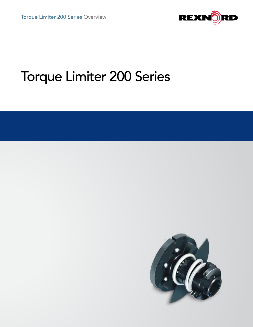

# Torque Limiter 200 Series

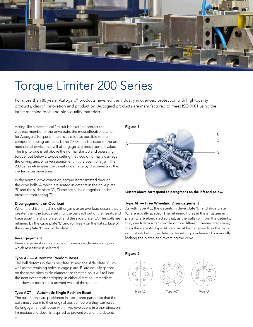

## Torque Limiter 200 Series

For more than 80 years, Autogard® products have led the industry in overload protection with high-quality products, design innovation and production. Autogard products are manufactured to meet ISO 9001 using the latest machine tools and high-quality materials.

Acting like a mechanical "circuit breaker" to protect the weakest member of the drive train, the most effective location for Autogard Torque Limiters is as close as possible to the component being protected. The 200 Series is a state-of-the-art mechanical device that will disengage at a preset torque value. The trip torque is set above the normal startup and operating torque, but below a torque setting that would normally damage the driving and/or driven equipment. In the event of a jam, the 200 Series eliminates the threat of damage by disconnecting the inertia in the drive train.

In the normal drive condition, torque is transmitted through the drive balls 'A' which are seated in detents in the drive plate 'B' and the slide plate 'C', These are all held together under pressure from spring 'D'.

#### Disengagement on Overload

When the driven machine either jams or an overload occurs that is greater than the torque setting, the balls roll out of their seats and force apart the drive plate 'B' and the slide plate 'C'. The balls are retained by the cage plate 'E' and roll freely on the flat surface of the drive plate 'B' and slide plate 'C'.

### Re-engagement

Re-engagement occurs in one of three ways depending upon which reset type is selected.

#### Type AC — Automatic Random Reset

The ball detents in the drive plate 'B' and the slide plate 'C', as well as the retaining holes in cage plate 'E' are equally spaced on the same pitch circle diameter so that the balls will roll into the next detents after tripping in either direction. Immediate shutdown is required to prevent wear of the detents.

### Type ACT — Automatic Single Position Reset

The ball detents are positioned in a scattered pattern so that the balls must return to their original position before they can reset. Re-engagement will occur within two revolutions in either direction. Immediate shutdown is required to prevent wear of the detents.

Figure 1



Letters above correspond to paragraphs on the left and below.

### Type AF — Free Wheeling Disengagement

As with Type AC, the detents in drive plate 'B' and slide plate 'C' are equally spaced. The retaining holes in the engagement plate 'E' are elongated so that, as the balls roll from the detents, they can follow a cam profile onto a different running track away from the detents. Type AF can run at higher speeds as the balls will not ratchet in the detents. Resetting is achieved by manually locking the plates and reversing the drive.



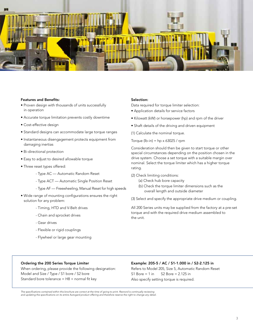

### Features and Benefits:

- Proven design with thousands of units successfully in operation
- Accurate torque limitation prevents costly downtime
- Cost-effective design
- Standard designs can accommodate large torque ranges
- Instantaneous disengagement protects equipment from damaging inertias
- Bi-directional protection
- Easy to adjust to desired allowable torque
- Three reset types offered:
	- Type AC Automatic Random Reset
	- Type ACT Automatic Single Position Reset
	- Type AF Freewheeling, Manual Reset for high speeds
- Wide range of mounting configurations ensures the right solution for any problem:
	- Timing, HTD and V-Belt drives
	- Chain and sprocket drives
	- Gear drives
	- Flexible or rigid couplings
	- Flywheel or large gear mounting

### Selection:

Data required for torque limiter selection:

- Application details for service factors
- Kilowatt (kW) or horsepower (hp) and rpm of the driver
- Shaft details of the driving and driven equipment

(1) Calculate the nominal torque.

Torque (lb-in) =  $hp \times 63025$  / rpm

Consideration should then be given to start torque or other special circumstances depending on the position chosen in the drive system. Choose a set torque with a suitable margin over nominal. Select the torque limiter which has a higher torque rating.

(2) Check limiting conditions:

- (a) Check hub bore capacity
- (b) Check the torque limiter dimensions such as the overall length and outside diameter
- (3) Select and specify the appropriate drive medium or coupling.

All 200 Series units may be supplied from the factory at a pre-set torque and with the required drive medium assembled to the unit.

### Ordering the 200 Series Torque Limiter

When ordering, please provide the following designation: Model and Size / Type / S1 bore / S2 bore Standard bore tolerance =  $H8 +$  normal fit key

### Example: 205-5 / AC / S1-1.000 in / S2-2.125 in

Refers to Model 205, Size 5, Automatic Random Reset S1 Bore  $= 1$  in S2 Bore  $= 2.125$  in Also specify setting torque is required.

*The specifications contained within this brochure are correct at the time of going to print. Rexnord is continually reviewing and updating the specifications on its entire Autogard product offering and therefore reserve the right to change any detail.*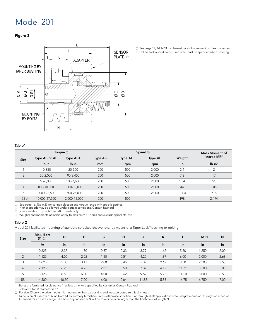### Figure 3



1) See page 17, Table 24 for dimensions and movement on disengagement.  $\mathfrak D$  Drilled and tapped holes, if required must be specified when ordering.

### Table1

| Torque $\odot$ |               |                 |         |                 | <b>Mass Moment of</b>    |                     |                                        |
|----------------|---------------|-----------------|---------|-----------------|--------------------------|---------------------|----------------------------------------|
| <b>Size</b>    | Type AC or AF | <b>Type ACT</b> | Type AC | <b>Type ACT</b> | <b>Type AF</b>           | Weight <sup>1</sup> | Inertia MR <sup>2</sup> $\circledcirc$ |
|                | lb-in         | $Ib-in$         | rpm     | rpm             | rpm                      | lb                  | $Ib-in2$                               |
|                | 10-350        | 20-500          | 200     | 500             | 2,000                    | 2.4                 | $\overline{2}$                         |
| $\overline{2}$ | 50-2,000      | 90-3,400        | 200     | 500             | 2,000                    | 7.3                 | 17                                     |
| 3              | 60-6,000      | 100-7,600       | 200     | 500             | 2,000                    | 19.4                | 51                                     |
| $\overline{4}$ | 800-10,000    | 1,000-15,000    | 200     | 500             | 2,000                    | 44                  | 205                                    |
| 5              | 1.000-22.500  | 1,500-26,000    | 200     | 500             | 2,000                    | 114.4               | 718                                    |
| $5S$ $\odot$   | 10,000-67,500 | 12,000-75,000   | 200     | 500             | $\overline{\phantom{a}}$ | 198                 | 2,494                                  |

See page 16, Table 23 for spring selection and torque range with specific springs.

 ${\mathcal{Y}}$  See page 16, Table 23 tor spring selection and torque range with specific sp<br> ${\mathcal{D}}$  Higher speeds may be allowed under certain conditions. Consult Rexnord.

5S is available in Type AC and ACT resets only.  $_{\odot}$ 

 $\mathbb D$  Weights and moments of inertia apply to maximum S1 bores and exclude sprockets, etc.

#### Table 2

Model 201 facilitates mounting of standard sprocket, sheave, etc., by means of a Taper-Lock™ bushing or bolting.

| <b>Size</b>    | Max. Bore<br>$51^\circ$ | D     | Е    | G    | н    | J     | K    |       | $M$ $\odot$          | $N$ $\odot$ |
|----------------|-------------------------|-------|------|------|------|-------|------|-------|----------------------|-------------|
|                | in                      | in    | in   | in   | in   | in    | in   | in    | in                   | in          |
|                | 0.625                   | 2.37  | 1.30 | 0.87 | 0.33 | 3.79  | 1.62 | 5.50  | 1.250                | 2.00        |
| 2              | 1.125                   | 4.00  | 2.22 | 1.50 | 0.51 | 4.20  | 1.87 | 6.00  | 2.000                | 2.63        |
| 3              | 1.625                   | 5.00  | 3.13 | 2.00 | 0.45 | 5.39  | 2.62 | 8.50  | 2.500                | 3.50        |
| $\overline{4}$ | 2.125                   | 6.25  | 4.25 | 2.81 | 0.50 | 7.37  | 4.12 | 11.31 | 3.500                | 5.00        |
| 5              | 3.125                   | 8.50  | 6.00 | 4.00 | 0.62 | 9.59  | 5.25 | 14.50 | 5.000                | 6.50        |
| <b>5S</b>      | 4.500                   | 10.50 | 7.00 | 6.00 | 0.64 | 11.88 | 5.88 | 16.75 | $6.750$ <sup>3</sup> | 7.00        |

Bores are furnished for clearance fit unless otherwise specified by customer. Consult Rexnord.

y pores are furnished for clearanc<br>2 Tolerance for M diameter is K7.

For size 5S only the drive medium is mounted on bronze bushing and must be bored to this diameter. 3

Dimension N is depth of blind bore S1 as normally furnished, unless otherwise specified. For through-shaft applications or for weight reduction, through-bore can be<br>furnished for an extra charge. The bore beyond depth N wi 4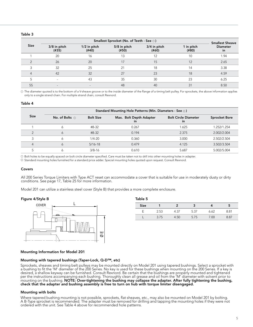### Table 3

|             |                          | <b>Smallest Sheave</b> |                       |                       |                     |                       |
|-------------|--------------------------|------------------------|-----------------------|-----------------------|---------------------|-----------------------|
| <b>Size</b> | 3/8 in pitch<br>(#35)    | 1/2 in pitch<br>(#40)  | 5/8 in pitch<br>(#50) | 3/4 in pitch<br>(#60) | 1 in pitch<br>(#80) | <b>Diameter</b><br>in |
|             | 20                       | 16                     | 13                    | 12                    | 10                  | 1.94                  |
|             | 26                       | 20                     | 17                    | 15                    | 12                  | 2.65                  |
|             | 32                       | 25                     | 21                    | 18                    | 14                  | 3.38                  |
|             | 42                       | 32                     | 27                    | 23                    | 18                  | 4.59                  |
|             | $\overline{\phantom{a}}$ | 43                     | 35                    | 30                    | 23                  | 6.25                  |
| <b>5S</b>   |                          |                        | 48                    | 40                    | 31                  | 8.50                  |

 $\mathbb D$  The diameter quoted is to the bottom of a V-sheave groove or to the inside diameter of the flange of a timing belt pulley. For sprockets, the above information applies only to a single strand chain. For multiple strand chain, consult Rexnord.

#### Table 4

|             | Standard Mounting Hole Patterns (Min. Diameters - See 2) |                  |                               |                                          |                      |  |  |  |  |  |
|-------------|----------------------------------------------------------|------------------|-------------------------------|------------------------------------------|----------------------|--|--|--|--|--|
| <b>Size</b> | No. of Bolts $\odot$                                     | <b>Bolt Size</b> | Max. Bolt Depth Adapter<br>ın | <b>Bolt Circle Diameter</b><br><i>in</i> | <b>Sprocket Bore</b> |  |  |  |  |  |
|             |                                                          | #8-32            | 0.267                         | 1.625                                    | 1.252/1.254          |  |  |  |  |  |
|             | Ô                                                        | $#8-32$          | 0.194                         | 2.375                                    | 2.002/2.004          |  |  |  |  |  |
|             | 6                                                        | $1/4 - 20$       | 0.360                         | 3.000                                    | 2.502/2.504          |  |  |  |  |  |
| 4           | Ô                                                        | $5/16 - 18$      | 0.479                         | 4.125                                    | 3.502/3.504          |  |  |  |  |  |
|             |                                                          | $3/8 - 16$       | 0.610                         | 5.687                                    | 5.002/5.004          |  |  |  |  |  |

 ${\mathbb D}$  Bolt holes to be equally spaced on bolt circle diameter specified. Care must be taken not to drill into other mounting holes in adapter.

 $\mathcal D$  Standard mounting holes furnished for a standard price adder. Special mounting holes quoted upon request. Consult Rexnord.

### Covers

All 200 Series Torque Limiters with Type ACT reset can accommodate a cover that is suitable for use in moderately dusty or dirty conditions. See page 17, Table 25 for more information.

Table 5

Model 201 can utilize a stainless steel cover (Style B) that provides a more complete enclosure.

#### Figure 4/Style B



| -------     |      |        |              |      |      |
|-------------|------|--------|--------------|------|------|
| <b>Size</b> |      |        |              |      |      |
|             | 2.53 |        | 5.37         | n 62 | 8.81 |
|             |      | $\sim$ | 75<br>$\sim$ |      | ∠ Ω  |

#### Mounting Information for Model 201

### Mounting with tapered bushings (Taper-Lock, Q-D™, etc)

Sprockets, sheaves and timing belt pulleys may be mounted directly on Model 201 using tapered bushings. Select a sprocket with a bushing to fit the 'M' diameter of the 200 Series. No key is used for these bushings when mounting on the 200 Series. If a key is desired, a shallow keyway can be furnished. Consult Rexnord. Be certain that the bushings are properly mounted and tightened per the instructions accompanying each bushing. Thoroughly clean all grease and oil from the 'M' diameter with solvent prior to mounting on the bushing. NOTE: Over-tightening the bushing may collapse the adapter. After fully tightening the bushing, check that the adapter and bushing assembly is free to turn on hub with torque limiter disengaged.

#### Mounting with bolts

Where tapered bushing mounting is not possible, sprockets, flat sheaves, etc., may also be mounted on Model 201 by bolting. A B-Type sprocket is recommended. The adapter must be removed for drilling and tapping the mounting holes if they were not ordered with the unit. See Table 4 above for recommended hole patterns.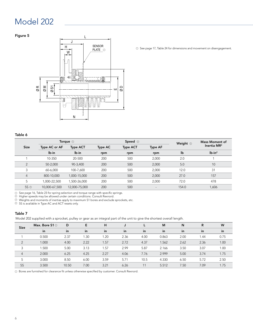### Figure 5



Table 6

| <b>Size</b>     |               | Torque $\odot$  |                | Speed 2         | Weight <sup>3</sup>      | <b>Mass Moment of</b> |                |
|-----------------|---------------|-----------------|----------------|-----------------|--------------------------|-----------------------|----------------|
|                 | Type AC or AF | <b>Type ACT</b> | <b>Type AC</b> | <b>Type ACT</b> | <b>Type AF</b>           |                       | Inertia $MR^2$ |
|                 | lb-in         | lb-in           | rpm            | rpm             | rpm                      | lb                    | $Ib-in2$       |
|                 | 10-350        | 20-500          | 200            | 500             | 2,000                    | 2.0                   |                |
| $\overline{2}$  | 50-2,000      | 90-3,400        | 200            | 500             | 2,000                    | 5.0                   | 10             |
| 3               | 60-6,000      | 100-7,600       | 200            | 500             | 2,000                    | 12.0                  | 31             |
| 4               | 800-10,000    | 1,000-15,000    | 200            | 500             | 2,000                    | 27.0                  | 157            |
| 5               | 1,000-22,500  | 1,500-26,000    | 200            | 500             | 2,000                    | 72.0                  | 478            |
| 5S <sup>4</sup> | 10,000-67,500 | 12,000-75,000   | 200            | 500             | $\overline{\phantom{a}}$ | 154.0                 | 1,606          |

See page 16, Table 23 for spring selection and torque range with specific springs.

Higher speeds may be allowed under certain conditions. Consult Rexnord. 1 2

Weights and moments of inertias apply to maximum S1 bores and exclude sprockets, etc. 5S is available in Type AC and ACT resets only. 3

4

### Table 7

Model 202 supplied with a sprocket, pulley or gear as an integral part of the unit to give the shortest overall length.

| <b>Size</b>    | Max. Bore $S1@$ | D     | Е    | н    |      | ►    | M     | N    | R    | W    |
|----------------|-----------------|-------|------|------|------|------|-------|------|------|------|
|                | in              | in    | in   | in   | in   | in   | in    | in   | in   | in   |
|                | 0.500           | 2.37  | 1.30 | 1.20 | 2.36 | 4.00 | 0.863 | 2.00 | 1.44 | 0.75 |
| $\overline{2}$ | 1.000           | 4.00  | 2.22 | 1.57 | 2.72 | 4.37 | 1.562 | 2.62 | 2.36 | 1.00 |
| 3              | 1.500           | 5.00  | 3.13 | 1.57 | 2.99 | 5.87 | 2.166 | 3.50 | 3.07 | 1.00 |
| $\overline{4}$ | 2.000           | 6.25  | 4.25 | 2.27 | 4.06 | 7.76 | 2.999 | 5.00 | 3.74 | 1.75 |
| 5              | 3.000           | 8.50  | 6.00 | 3.59 | 5.71 | 10.5 | 4.330 | 6.50 | 5.72 | 2.50 |
| <b>5S</b>      | 3.500           | 10.50 | 7.00 | 3.21 | 6.26 | 11   | 5.512 | 7.50 | 7.09 | 1.75 |

<sup>1</sup> Bores are furnished for clearance fit unless otherwise specified by customer. Consult Rexnord.

PLATE  $\odot$   $\odot$  see page 17, Table 24 for dimensions and movement on disengagement.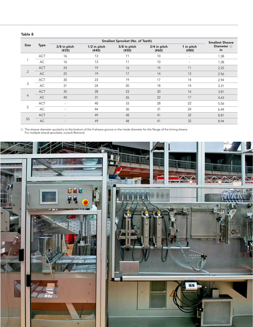### Table 8

|                |             |                          | <b>Smallest Sheave</b> |                       |                       |                          |                        |
|----------------|-------------|--------------------------|------------------------|-----------------------|-----------------------|--------------------------|------------------------|
| <b>Size</b>    | <b>Type</b> | 3/8 in pitch<br>(#35)    | 1/2 in pitch<br>(#40)  | 5/8 in pitch<br>(#50) | 3/4 in pitch<br>(#60) | 1 in pitch<br>(#80)      | Diameter $\odot$<br>in |
|                | <b>ACT</b>  | 16                       | 13                     | 11                    | 10                    | $\overline{\phantom{a}}$ | 1.38                   |
|                | AC          | 16                       | 13                     | 11                    | 10                    | $\overline{\phantom{a}}$ | 1.38                   |
|                | <b>ACT</b>  | 24                       | 19                     | 16                    | 14                    | 11                       | 2.25                   |
| 2              | AC          | 25                       | 19                     | 17                    | 14                    | 12                       | 2.56                   |
|                | <b>ACT</b>  | 30                       | 23                     | 19                    | 17                    | 14                       | 2.94                   |
| 3              | AC          | 31                       | 24                     | 20                    | 18                    | 14                       | 3.31                   |
|                | <b>ACT</b>  | 35                       | 28                     | 23                    | 20                    | 16                       | 3.81                   |
| $\overline{4}$ | AC          | 40                       | 31                     | 26                    | 22                    | 17                       | 4.63                   |
|                | <b>ACT</b>  |                          | 40                     | 33                    | 28                    | 22                       | 5.56                   |
| 5              | AC          | $\overline{\phantom{a}}$ | 44                     | 36                    | 31                    | 24                       | 6.44                   |
|                | <b>ACT</b>  |                          | 49                     | 48                    | 41                    | 32                       | 8.81                   |
| <b>5S</b>      | AC          |                          | 49                     | 48                    | 41                    | 32                       | 8.94                   |

The sheave diameter quoted is to the bottom of the V-sheave groove or the inisde diameter for the flange of the timing sheave. For multiple strand sprockets, consult Rexnord. 1

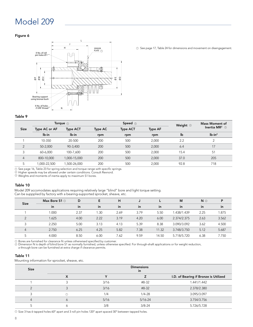### Figure 6



See page 17, Table 24 for dimensions and movement on disengagement. <sup>1</sup>

### Table 9

|                | Torque $\odot$ |                 |         | Speed $\circledcirc$ | Weight <sup>3</sup> | <b>Mass Moment of</b> |                                        |
|----------------|----------------|-----------------|---------|----------------------|---------------------|-----------------------|----------------------------------------|
| <b>Size</b>    | Type AC or AF  | <b>Type ACT</b> | Type AC | <b>Type ACT</b>      | <b>Type AF</b>      |                       | Inertia MR <sup>2</sup> $\circledcirc$ |
|                | lb-in          | lb-in           | rpm     | rpm                  | rpm                 | lb                    | $Ib-in2$                               |
|                | 10-350         | 20-500          | 200     | 500                  | 2,000               | 2.2                   | $\mathcal{P}$                          |
| $\mathcal{D}$  | 50-2.000       | 90-3,400        | 200     | 500                  | 2,000               | 6.4                   | 17                                     |
| 3              | 60-6.000       | 100-7.600       | 200     | 500                  | 2,000               | 15.4                  | 51                                     |
| $\overline{4}$ | 800-10,000     | 1,000-15,000    | 200     | 500                  | 2,000               | 37.0                  | 205                                    |
| 5              | 1,000-22,500   | .500-26,000     | 200     | 500                  | 2,000               | 92.8                  | 718                                    |

See page 16, Table 23 for spring selection and torque range with specific springs.

y See page 16, Table 23 tor spring selection and torque range with specific sp<br>2 Higher speeds may be allowed under certain conditions. Consult Rexnord.

 $^{\rm 3)}$  Weights and moments of inertia apply to maximum S1 bores.

### Table 10

Model 209 accomodates applications requiring relatively large "blind" bore and light torque setting. Can be suppplied by factory with a bearing-supported sprocket, sheave, etc.

| <b>Size</b>    | Max Bore $S1@$ | D    | Е    | н    |      |       | M           | $N$ $\odot$ | P     |
|----------------|----------------|------|------|------|------|-------|-------------|-------------|-------|
|                | in             | in   | in   | in   | in   | in    | in          | in          | in    |
|                | 1.000          | 2.37 | 1.30 | 2.69 | 3.79 | 5.50  | 1.438/1.439 | 2.25        | 1.875 |
| $\mathcal{P}$  | 1.625          | 4.00 | 2.22 | 3.19 | 4.20 | 6.00  | 2.374/2.375 | 2.63        | 3.562 |
|                | 2.250          | 5.00 | 3.13 | 4.13 | 5.39 | 8.38  | 3.090/3.092 | 3.62        | 4.500 |
| $\overline{4}$ | 2.750          | 6.25 | 4.25 | 5.82 | 7.38 | 11.32 | 3.748/3.750 | 5.12        | 5.687 |
| 5              | 4.000          | 8.50 | 6.00 | 7.62 | 9.59 | 14.50 | 5.718/5.720 | 6.38        | 7.750 |

1 2

Bores are furnished for clearance fit unless otherwised specified by customer.<br>Dimension N is depth of blind bore S1 as normally furnished, unless otherwise specified. For through-shaft applications or for weight reduction

### Table 11

Mounting information for sprocket, sheave, etc.

| <b>Size</b> | <b>Dimensions</b><br>in  |      |             |                                       |  |  |  |  |  |
|-------------|--------------------------|------|-------------|---------------------------------------|--|--|--|--|--|
|             | $\mathbf v$<br>$\lambda$ | v    |             | I.D. of Bearing if Bronze is Utilized |  |  |  |  |  |
|             |                          | 3/16 | #8-32       | 1.441/1.442                           |  |  |  |  |  |
|             |                          | 3/16 | #8-32       | 2.378/2.380                           |  |  |  |  |  |
|             | (1)                      | 1/4  | $1/4 - 28$  | 3.095/3.097                           |  |  |  |  |  |
| 4           | O                        | 5/16 | $5/16 - 24$ | 3.754/3.756                           |  |  |  |  |  |
|             |                          | 3/8  | $3/8 - 24$  | 5.726/5.728                           |  |  |  |  |  |

 $\odot$  Size 3 has 6 tapped holes 60° apart and 3 roll pin holes 120° apart spaced 30° between tapped holes.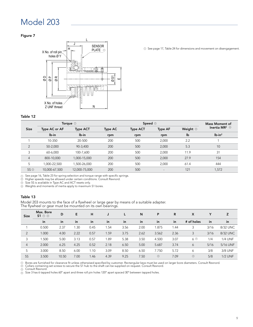### Figure 7



### Table 12

|                                    |               | Torque $\circledcirc$ |                | <b>Mass Moment of</b> |                          |                       |                                        |
|------------------------------------|---------------|-----------------------|----------------|-----------------------|--------------------------|-----------------------|----------------------------------------|
| <b>Size</b>                        | Type AC or AF | <b>Type ACT</b>       | <b>Type AC</b> | <b>Type ACT</b>       | <b>Type AF</b>           | Weight $\circledcirc$ | Inertia MR <sup>2</sup> $\circledcirc$ |
|                                    | $Ib-in$       | lb-in                 | rpm            | rpm                   | rpm                      | lb                    | $Ib-in2$                               |
|                                    | 10-350        | 20-500                | 200            | 500                   | 2,000                    | 2.2                   |                                        |
| $\overline{2}$                     | 50-2.000      | 90-3,400              | 200            | 500                   | 2,000                    | 5.3                   | 10                                     |
| 3                                  | 60-6,000      | 100-7,600             | 200            | 500                   | 2,000                    | 11.9                  | 31                                     |
| $\overline{4}$                     | 800-10,000    | 1,000-15,000          | 200            | 500                   | 2,000                    | 27.9                  | 154                                    |
| 5                                  | 1,000-22,500  | .500-26.000           | 200            | 500                   | 2.000                    | 61.4                  | 444                                    |
| $5S$ <sup><math>\odot</math></sup> | 10,000-67,500 | 12,000-75,000         | 200            | 500                   | $\overline{\phantom{a}}$ | 121                   | 1,572                                  |

 $\Omega$  See page 16, Table 23 for spring selection and torque range with specific springs.

Higher speeds may be allowed under certain conditions. Consult Rexnord.

 $\omega$  -rigner speeds may be allowed under certain condit<br>De Size 5S is available in Type AC and ACT resets only. 3

Weights and moments of inertia apply to maximum S1 bores. 4

### Table 13

Model 203 mounts to the face of a flywheel or large gear by means of a suitable adapter. The flywheel or gear must be mounted on its own bearings.

| <b>Size</b>    | Max. Bore<br>$S1 \circ \circ$ | D     | E    | H    | J    |      | N    | P       | R    | X                  | Υ    | z              |
|----------------|-------------------------------|-------|------|------|------|------|------|---------|------|--------------------|------|----------------|
|                | in                            | in    | in   | in   | in   | in   | in   | in      | in   | # of holes         | in   | in             |
|                | 0.500                         | 2.37  | 1.30 | 0.45 | 1.54 | 3.56 | 2.00 | .875    | .44  | 3                  | 3/16 | 8/32 UNC       |
| 2              | 1.000                         | 4.00  | 2.22 | 0.57 | 1.59 | 3.75 | 2.62 | 3.562   | 2.36 | 3                  | 3/16 | 8/32 UNC       |
| 3              | 1.500                         | 5.00  | 3.13 | 0.57 | 1.89 | 5.38 | 3.50 | 4.500   | 3.07 | $6$ $\circledcirc$ | 1/4  | <b>1/4 UNF</b> |
| $\overline{4}$ | 2.000                         | 6.25  | 4.25 | 0.52 | 2.18 | 6.50 | 5.00 | 5.687   | 3.74 | 6                  | 5/16 | 5/16 UNF       |
| 5              | 3.000                         | 8.50  | 6.00 | 1.10 | 3.09 | 8.50 | 6.50 | 7.750   | 5.72 | 6                  | 3/8  | 3/8 UNF        |
| 5S             | 3.500                         | 10.50 | 7.00 | 1.46 | 4.39 | 9.25 | 7.50 | $\odot$ | 7.09 | $\odot$            | 5/8  | <b>1/2 UNF</b> |

D Bores are furnished for clearance fit unless otherwised specified by customer. Rectangular keys must be used on larger bore diameters. Consult Rexnord.<br>D Collars containing set screws to secure the S1 hub to the shaft ca

Consult Rexnord.

Size 3 has 6 tapped holes 60° apart and three roll pin holes 120° apart spaced 30° between tapped holes. 3

### <sup>O</sup> See page 17, Table 24 for dimensions and movement on disengagement.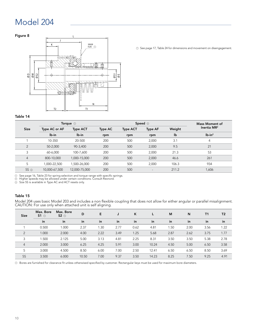### Figure 8



 $\odot$  See page 17, Table 24 for dimensions and movement on disengagement.

### Table 14

|                |               | Torque $\odot$  |         | Speed $\circledcirc$ |                          | Mass Moment of |                |
|----------------|---------------|-----------------|---------|----------------------|--------------------------|----------------|----------------|
| <b>Size</b>    | Type AC or AF | <b>Type ACT</b> | Type AC | <b>Type ACT</b>      | <b>Type AF</b>           | Weight         | Inertia $MR^2$ |
|                | lb-in         | lb-in           | rpm     | rpm                  | rpm                      | lb             | $Ib-in2$       |
|                | 10-350        | 20-500          | 200     | 500                  | 2,000                    | 3.1            | 4              |
| $\overline{2}$ | 50-2,000      | 90-3,400        | 200     | 500                  | 2,000                    | 9.5            | 21             |
| 3              | 60-6,000      | 100-7,600       | 200     | 500                  | 2,000                    | 21.3           | 53             |
| $\overline{4}$ | 800-10,000    | 1,000-15,000    | 200     | 500                  | 2,000                    | 46.6           | 261            |
| 5              | 1,000-22,500  | 1,500-26,000    | 200     | 500                  | 2.000                    | 106.3          | 934            |
| $5S$ $\odot$   | 10,000-67,500 | 12,000-75,000   | 200     | 500                  | $\overline{\phantom{a}}$ | 211.2          | 1,606          |

D See page 16, Table 23 for spring selection and torque range with specific springs.<br>D Higher speeds may be allowed under certain conditions. Consult Rexnord.

 $\odot$  Size 5S is available in Type AC and ACT resets only.

### Table 15

Model 204 uses basic Model 203 and includes a non flexible coupling that does not allow for either angular or parallel misalignment. CAUTION: For use only when attached unit is self aligning.

| <b>Size</b>    | Max. Bore<br>$51$ $\odot$ | Max. Bore<br>$S2$ $\odot$ | D     | Е    | IJ   | K    |       | M    | N    | T1   | T <sub>2</sub> |
|----------------|---------------------------|---------------------------|-------|------|------|------|-------|------|------|------|----------------|
|                | in                        | in                        | in    | in   | in   | in   | in    | in   | in   | in   | in             |
|                | 0.500                     | 1.000                     | 2.37  | 1.30 | 2.77 | 0.62 | 4.81  | 1.50 | 2.00 | 3.56 | 1.22           |
| 2              | 1.000                     | 2.000                     | 4.00  | 2.22 | 3.49 | 1.25 | 5.68  | 2.87 | 2.62 | 3.75 | 1.77           |
| 3              | 1.500                     | 2.125                     | 5.00  | 3.13 | 4.81 | 2.25 | 8.31  | 3.50 | 3.50 | 5.38 | 2.78           |
| $\overline{4}$ | 2.000                     | 3.000                     | 6.25  | 4.25 | 5.91 | 3.00 | 10.24 | 4.50 | 5.00 | 6.50 | 3.58           |
| 5              | 3.000                     | 4.500                     | 8.50  | 6.00 | 7.00 | 2.50 | 12.41 | 6.50 | 6.50 | 8.50 | 3.69           |
| <b>5S</b>      | 3.500                     | 6.000                     | 10.50 | 7.00 | 9.37 | 3.50 | 14.23 | 8.25 | 7.50 | 9.25 | 4.91           |

 ${\mathbb D}$  Bores are furnished for clearance fit unless otherwised specified by customer. Rectangular keys must be used for maximum bore diameters.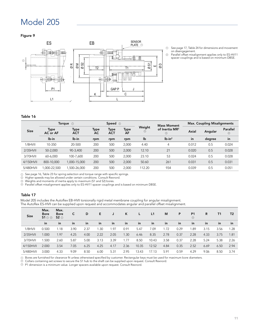Figure 9



- See page 17, Table 24 for dimensions and movement on disengagement.  $\odot$
- Parallel offset misalignment applies only to ES-HV11 spacer couplings and is based on minimum DBSE.  $\circledcirc$

### Table 16

|             |                  | Torque $\odot$     |            | Speed $\circledcirc$ |            |             | <b>Mass Moment</b>              |       | <b>Max. Coupling Misalignments</b> |                     |
|-------------|------------------|--------------------|------------|----------------------|------------|-------------|---------------------------------|-------|------------------------------------|---------------------|
| <b>Size</b> | Type<br>AC or AF | Type<br><b>ACT</b> | Type<br>AC | Type<br><b>ACT</b>   | Type<br>AF | Weight<br>⊚ | of Inertia MR <sup>2</sup><br>⊙ | Axial | Angular                            | Parallel<br>$\odot$ |
|             | lb-in            | lb-in              | rpm        | rpm                  | rpm        | lb          | $lb-in2$                        | in    | degree                             | in                  |
| $1/8$ HVII  | 10-350           | 20-500             | 200        | 500                  | 2,000      | 4.40        | 4                               | 0.012 | 0.5                                | 0.024               |
| $2/35$ HVII | 50-2,000         | 90-3.400           | 200        | 500                  | 2,000      | 12.10       | 21                              | 0.020 | 0.5                                | 0.028               |
| 3/70HVII    | 60-6,000         | 100-7.600          | 200        | 500                  | 2.000      | 23.10       | 53                              | 0.024 | 0.5                                | 0.028               |
| 4/150HVII   | 800-10.000       | 1,000-15,000       | 200        | 500                  | 2,000      | 50.60       | 261                             | 0.031 | 0.5                                | 0.031               |
| 5/480HVII   | ,000-22,500      | ,500-26,000        | 200        | 500                  | 2,000      | 112.20      | 934                             | 0.039 | 0.5                                | 0.051               |

See page 16, Table 23 for spring selection and torque range with specific springs.

ע see page to, table zs for spring selection and torque range with specific s<br>2 Higher speeds may be allowed under certain conditions. Consult Rexnord.

Weights and moments of inertia apply to maximum (S1 and S2) bores.

3) Weights and moments of inertia apply to maximum (ST and SZ) bores.<br>D) Parallel offset misalignment applies only to ES-HV11 spacer couplings and is based on minimum DBSE.

### Table 17

Model 205 includes the Autoflex EB-HVII torsionally rigid metal membrane coupling for angular misalignment. The Autoflex ES-HVII can be supplied upon request and accommodates angular and parallel offset misalignment.

| <b>Size</b> | Max.<br><b>Bore</b><br>$S1 \odot \odot$ | Max.<br><b>Bore</b><br>$S2 \odot$ | с    | D    | Е    |      | ĸ    |       | L1    | M    | P    | P <sub>1</sub><br>⊙ | R    | Τ1   | T <sub>2</sub> |
|-------------|-----------------------------------------|-----------------------------------|------|------|------|------|------|-------|-------|------|------|---------------------|------|------|----------------|
|             | in                                      | in                                | in   | in   | in   | in   | in   | in    | in    | in   | in   | in                  | in   | in   | in             |
| $1/8$ HVII  | 0.500                                   | 1.18                              | 3.90 | 2.37 | 1.30 | 1.97 | 0.91 | 5.47  | 7.09  | 1.72 | 0.29 | .89                 | 3.15 | 3.56 | 1.28           |
| $2/35$ HVII | 1.000                                   | 1.97                              | 4.25 | 4.00 | 2.22 | 2.05 | 1.30 | 6.46  | 8.35  | 2.78 | 0.37 | 2.28                | 4.33 | 3.75 | 1.81           |
| 3/70HVII    | 1.500                                   | 2.60                              | 5.87 | 5.00 | 3.13 | 3.39 | 1.77 | 8.50  | 10.43 | 3.58 | 0.37 | 2.28                | 5.24 | 5.38 | 2.26           |
| 4/150HVII   | 2.000                                   | 3.54                              | 7.05 | 6.25 | 4.25 | 4.17 | 2.36 | 10.35 | 12.52 | 4.84 | 0.35 | 2.52                | 6.69 | 6.50 | 2.94           |
| 5/480HVII   | 3.000                                   | 4.33                              | 9.09 | 8.50 | 6.00 | 5.31 | 2.95 | 13.43 | 17.13 | 5.91 | 0.59 | 4.29                | 9.06 | 8.50 | 3.74           |

 ${\mathbb D}$  Bores are furnished for clearance fit unless otherwised specified by customer. Rectangular keys must be used for maximum bore diameters.

 $\mathcal D$  Collars containing set screws to secure the S1 hub to the shaft can be supplied upon request. Consult Rexnord.

 $\mathbb D$  P1 dimension is a minimum value. Longer spacers available upon request. Consult Rexnord.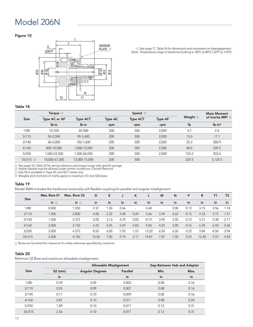### Model 206N

### Figure 10



 $\odot$  See page 17, Table 24 for dimensions and movement on disengagement. Note: Temperature range of elastomer bushing is -30°C to 80°C (-22°F to 176°F). 1 1

### Table 18

|                | Torque $\odot$ |                 |         |                 | <b>Mass Moment</b> |            |                                           |
|----------------|----------------|-----------------|---------|-----------------|--------------------|------------|-------------------------------------------|
| <b>Size</b>    | Type AC or AF  | <b>Type ACT</b> | Type AC | <b>Type ACT</b> | <b>Type AF</b>     | Weight $@$ | of Inertia MR <sup>2</sup> $\circledcirc$ |
|                | lb-in          | lb-in           | rpm     | rpm             | rpm                | lb         | $lb-in2$                                  |
| 1/80           | 10-350         | 20-500          | 200     | 500             | 2,000              | 3.7        | 2.4                                       |
| 2/110          | 50-2.000       | 90-3,400        | 200     | 500             | 2,000              | 15.0       | 17.1                                      |
| 3/140          | 60-6.000       | 100-7,600       | 200     | 500             | 2,000              | 25.3       | 580.9                                     |
| 4/160          | 800-10.000     | 1,000-15,000    | 200     | 500             | 2,000              | 48.4       | 239.2                                     |
| 5/250          | 1.000-22.500   | 1,500-26,000    | 200     | 500             | 2,000              | 123.2      | 922.6                                     |
| 5S/315 $\circ$ | 10,000-67,500  | 12,000-75,000   | 200     | 500             | $\qquad \qquad -$  | 225.5      | 5,125.5                                   |

D See page 16, Table 23 for spring selection and torque range with specific springs.<br>D Higher speeds may be allowed under certain conditions. Consult Rexnord.

Size 5S is available in Type AC and ACT resets only.

3) Size SS is available in Type AC and ACT resets only.<br>① Weights and moments of inertia apply to maximum (S1 and S2) bores.

### Table 19

Model 206N includes the traditional torsionally soft flexible coupling for parallel and angular misalignment.

| <b>Size</b> | Max. Bore S1 | Max. Bore S2 | D     | Е    |      | K      |       | M      | N    | P    | R     | T1   | T <sub>2</sub> |
|-------------|--------------|--------------|-------|------|------|--------|-------|--------|------|------|-------|------|----------------|
|             | in $\odot$   | in $\odot$   | in    | in   | in   | in     | in    | in     | in   | in   | in    | in   | $\mathsf{in}$  |
| 1/80        | 0.500        | 1.250        | 2.37  | 1.30 | 2.66 | $\sim$ | 4.68  | $\sim$ | 2.00 | 0.12 | 3.15  | 3.56 | 1.18           |
| 2/110       | 1.000        | 2.000        | 4.00  | 2.22 | 3.48 | 0.24   | 5.66  | 3.39   | 2.62 | 0.12 | 4.33  | 3.75 | 1.57           |
| 3/140       | 1.500        | 2.375        | 5.00  | 3.13 | 4.70 | 0.83   | 8.19  | 3.94   | 3.50 | 0.12 | 5.51  | 5.38 | 2.17           |
| 4/160       | 2.000        | 2.750        | 6.25  | 4.25 | 5.29 | 0.83   | 9.60  | 4.25   | 5.00 | 0.16 | 6.30  | 6.50 | 2.36           |
| 5/250       | 3.000        | 4.375        | 8.50  | 6.00 | 7.92 | 1.57   | 13.22 | 6.50   | 6.50 | 0.22 | 9.84  | 8.50 | 3.94           |
| 5S/315      | 3.500        | 4.750        | 10.50 | 7.00 | 9.79 | 2.17   | 14.87 | 7.87   | 7.50 | 0.22 | 12.40 | 9.25 | 4.92           |

 $\mathfrak D$  Bores are furnished for clearance fit unless otherwise specified by customer.

#### Table 20

Minimum S2 Bore and maximum allowable misalignment.

|             |            | Allowable Misalignment |          | Gap Between Hub and Adapter |      |
|-------------|------------|------------------------|----------|-----------------------------|------|
| <b>Size</b> | $S2$ (min) | <b>Angular Degrees</b> | Parallel | Min.                        | Max. |
|             | in         |                        | in       | in                          | in   |
| 1/80        | 0.39       | 0.09                   | 0.005    | 0.08                        | 0.16 |
| 2/110       | 0.55       | 0.09                   | 0.007    | 0.08                        | 0.16 |
| 3/140       | 0.71       | 0.10                   | 0.009    | 0.08                        | 0.16 |
| 4/160       | 0.87       | 0.10                   | 0.011    | 0.08                        | 0.24 |
| 5/250       | 1.89       | 0.10                   | 0.017    | 0.12                        | 0.31 |
| 5S/315      | 2.56       | 0.10                   | 0.017    | 0.12                        | 0.31 |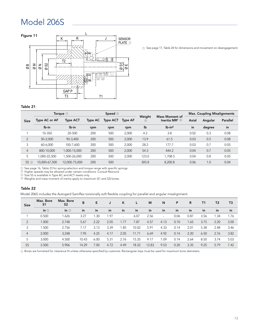### Model 206S



<sup>1</sup> See page 17, Table 24 for dimensions and movement on disengagement.

### Table 21

|                |               | Torque $\odot$  |                | Speed $\circledcirc$ |                          |                      | <b>Mass Moment of</b>                  | <b>Max. Coupling Misalignments</b> |         |          |  |
|----------------|---------------|-----------------|----------------|----------------------|--------------------------|----------------------|----------------------------------------|------------------------------------|---------|----------|--|
| <b>Size</b>    | Type AC or AF | <b>Type ACT</b> | <b>Type AC</b> | <b>Type ACT</b>      | <b>Type AF</b>           | Weight<br>$^{\circ}$ | Inertia MR <sup>2</sup> $\circledcirc$ | Axial                              | Angular | Parallel |  |
|                | lb-in         | lb-in           | rpm            | rpm                  | rpm                      | lb                   | $Ib-in2$                               | in                                 | degree  | in       |  |
|                | 10-350        | 20-500          | 200            | 500                  | 2,000                    | 4.2                  | 3.8                                    | 0.02                               | 0.3     | 0.08     |  |
| 2              | 50-2.000      | 90-3,400        | 200            | 500                  | 2,000                    | 13.9                 | 61.5                                   | 0.03                               | 0.5     | 0.08     |  |
| 3              | 60-6.000      | 100-7,600       | 200            | 500                  | 2,000                    | 28.2                 | 177.7                                  | 0.03                               | 0.7     | 0.05     |  |
| $\overline{4}$ | 800-10.000    | 1,000-15,000    | 200            | 500                  | 2,000                    | 54.3                 | 444.2                                  | 0.04                               | 0.7     | 0.05     |  |
| 5              | ,000-22,500   | ,500-26,000     | 200            | 500                  | 2,000                    | 123.0                | 1,708.5                                | 0.04                               | 0.8     | 0.05     |  |
| $5S$ $\odot$   | 10,000-67,500 | 12,000-75,000   | 200            | 500                  | $\overline{\phantom{a}}$ | 305.8                | 8,200.8                                | 0.06                               | 1.0     | 0.04     |  |

See page 16, Table 23 for spring selection and torque range with specific springs. 1 2

Higher speeds may be allowed under certain conditions. Consult Rexnord.

Size 5S is available in Type AC and ACT resets only. 3

 $9\,$  Weights and mass moment of inertia apply to maximum (S1 and S2) bores.

### Table 22

Model 206S includes the Autogard Samiflex torsionally soft flexible coupling for parallel and angular misalignment.

| <b>Size</b>    | Max. Bore<br>S1 | Max. Bore<br>S <sub>2</sub> | B     | E.   |      | K      |       | M     | N      | P    | R    | T <sub>1</sub> | T <sub>2</sub> | T <sub>3</sub> |
|----------------|-----------------|-----------------------------|-------|------|------|--------|-------|-------|--------|------|------|----------------|----------------|----------------|
|                | in $\odot$      | in $\odot$                  | in    | in   | in   | in     | in    | in    | in     | in   | in   | in             | in             | in             |
|                | 0.500           | 1.626                       | 3.27  | . 30 | 1.97 | $\sim$ | 6.07  | 2.56  | $\sim$ | 0.06 | 0.87 | 3.56           | .34            | 1.76           |
| $\overline{2}$ | 1.000           | 2.748                       | 5.67  | 2.22 | 2.05 | 1.77   | 7.87  | 4.57  | 4.13   | 0.10 | 1.65 | 3.75           | 2.20           | 3.00           |
| 3              | 1.500           | 2.756                       | 7.17  | 3.13 | 3.39 | 1.85   | 10.02 | 5.91  | 4.33   | 0.14 | 2.01 | 5.38           | 2.48           | 3.46           |
| $\overline{4}$ | 2.000           | 3.248                       | 7.95  | 4.25 | 4.17 | 2.05   | 11.71 | 6.69  | 4.92   | 0.14 | 2.20 | 6.50           | 2.76           | 3.82           |
| 5              | 3.000           | 4.500                       | 10.43 | 6.00 | 5.31 | 2.76   | 15.35 | 9.17  | 7.09   | 0.14 | 2.64 | 8.50           | 3.74           | 5.03           |
| 5S             | 3.500           | 5.906                       | 14.29 | 7.00 | 4.72 | 4.49   | 18.32 | 12.83 | 9.53   | 0.20 | 3.35 | 9.25           | 5.79           | 7.42           |

D Bores are furnished for clearance fit unless otherwise specified by customer. Rectangular keys must be used for maximum bore diameters.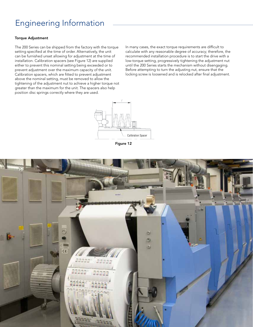### Engineering Information

### Torque Adjustment

The 200 Series can be shipped from the factory with the torque setting specified at the time of order. Alternatively, the unit can be furnished unset allowing for adjustment at the time of installation. Calibration spacers (see Figure 12) are supplied either to prevent this nominal setting being exceeded or to prevent adjustment over the maximum capacity of the unit. Calibration spacers, which are fitted to prevent adjustment above the nominal setting, must be removed to allow the tightening of the adjustment nut to achieve a higher torque not greater than the maximum for the unit. The spacers also help position disc springs correctly where they are used.

In many cases, the exact torque requirements are difficult to calculate with any reasonable degree of accuracy; therefore, the recommended installation procedure is to start the drive with a low-torque setting, progressively tightening the adjustment nut until the 200 Series starts the mechanism without disengaging. Before attempting to turn the adjusting nut, ensure that the locking screw is loosened and is relocked after final adjustment.



Figure 12

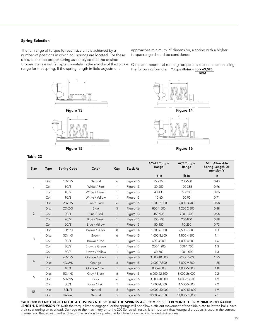### Spring Selection

The full range of torque for each size unit is achieved by a number of positions in which coil springs are located. For these sizes, select the proper spring assembly so that the desired tripping torque will fall approximately in the middle of the torque range for that spring. If the spring length in field adjustment



approaches minimum 'Y' dimension, a spring with a higher torque range should be considered.

Calculate theoretical running torque at a chosen location using the following formula: Torque ( $lb-in$ ) = hp x 63,025 RPM



Figure 16

| <b>Size</b>    | <b>Type</b> | <b>Spring Code</b> | Color          | Oty.         | <b>Stack As</b> | <b>AC/AF Torque</b><br>Range | <b>ACT Torque</b><br>Range | Min. Allowable<br>Spring Length Di-<br>mension Y |
|----------------|-------------|--------------------|----------------|--------------|-----------------|------------------------------|----------------------------|--------------------------------------------------|
|                |             |                    |                |              |                 | lb-in                        | lb-in                      | in                                               |
|                | Disc        | 1D/1/S             | Natural        | 6            | Figure 15       | 150-350                      | 200-500                    | 0.43                                             |
|                | Coil        | 1C/1               | White / Red    | 1            | Figure 13       | 80-250                       | 120-335                    | 0.96                                             |
|                | Coil        | 1C/2               | White / Green  | $\mathbf{1}$ | Figure 13       | 40-130                       | 60-200                     | 0.86                                             |
|                | Coil        | 1C/3               | White / Yellow | 1            | Figure 13       | 10-60                        | 20-90                      | 0.71                                             |
|                | <b>Disc</b> | 2D/1/S             | Blue / Black   | 6            | Figure 15       | 1,200-2,000                  | 2,000-3,400                | 0.98                                             |
|                | <b>Disc</b> | 2D/2/S             | Blue           | 5            | Figure 16       | 800-1,800                    | 1,200-2,800                | 0.88                                             |
| $\overline{2}$ | Coil        | 2C/1               | Blue / Red     | $\mathbf{1}$ | Figure 13       | 450-900                      | 700-1,500                  | 0.98                                             |
|                | Coil        | 2C/2               | Blue / Green   | $\mathbf{1}$ | Figure 13       | 150-500                      | 250-800                    | 0.88                                             |
|                | Coil        | 2C/3               | Blue / Yellow  | $\mathbf{1}$ | Figure 13       | 50-150                       | 90-250                     | 0.73                                             |
|                | <b>Disc</b> | 3D/1/D             | Brown / Black  | 8            | Figure 14       | 1,500-6,000                  | 2,500-7,600                | 1.3                                              |
|                | <b>Disc</b> | 3D/1/S             | <b>Brown</b>   | 6            | Figure 15       | 1,000-3,600                  | 1,800-4,800                | 1.1                                              |
| 3              | Coil        | 3C/1               | Brown / Red    | 1            | Figure 13       | 600-3,000                    | 1,000-4,000                | 1.6                                              |
|                | Coil        | 3C/2               | Brown / Green  | $\mathbf{1}$ | Figure 13       | 200-1,200                    | 300-1,700                  | 1.3                                              |
|                | Coil        | 3C/3               | Brown / Yellow | 1            | Figure 13       | 60-700                       | 100-1,000                  | 1.3                                              |
|                | <b>Disc</b> | 4D/1/S             | Orange / Black | 5            | Figure 16       | 3,000-10,000                 | 5,000-15,000               | 1.25                                             |
| 4              | <b>Disc</b> | 4D/2/S             | Orange         | 6            | Figure 15       | 2,000-7,500                  | 3,000-9,500                | 1.25                                             |
|                | Coil        | 4C/1               | Orange / Red   | $\mathbf{1}$ | Figure 13       | 800-4,000                    | 1,000-5,000                | 1.8                                              |
|                | <b>Disc</b> | 5D/1/S             | Gray / Black   | 6            | Figure 15       | 6,000-22,500                 | 8,000-26,000               | 2.2                                              |
| 5              | <b>Disc</b> | 5D/2/S             | Gray           | 6            | Figure 15       | 3,000-20,000                 | 4,000-23,500               | 1.9                                              |
|                | Coil        | 5C/1               | Gray / Red     | 1            | Figure 13       | 1,000-4,000                  | 1,500-5,000                | 2.2                                              |
| <b>5S</b>      | <b>Disc</b> | 5SD/1              | Natural        | 5            | Figure 16       | 10,000-50,000                | 12,000-57,000              | 1.9                                              |
|                | <b>Disc</b> | Hi-Torg            | Natural        | 5            | Figure 16       | 12,000-67,500                | 14,000-75,000              | 2.1                                              |
|                |             |                    |                |              |                 |                              |                            |                                                  |

CAUTION! DO NOT TIGHTEN THE ADJUSTING NUT SO THAT THE SPRINGS ARE COMPRESSED BEYOND THEIR MINIMUM OPERATING LENGTH, DIMENSION 'Y' (with the torque limiter engaged) or the springs will not allow sufficient movement of the slide plate to let the balls leave their seat during an overload. Damage to the machinery or to the 200 Series will result. It is important that Autogard products is used in the correct manner and that adjustment and setting in relation to a particular function follow recommended procedures.

### Table 23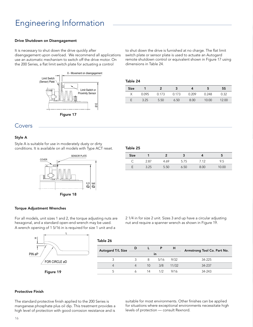### Engineering Information

### Drive Shutdown on Disengagement

It is necessary to shut down the drive quickly after disengagement upon overload. We recommend all applications use an automatic mechanism to switch off the drive motor. On the 200 Series, a flat limit switch plate for actuating a control



to shut down the drive is furnished at no charge. The flat limit switch plate or sensor plate is used to actuate an Autogard remote shutdown control or equivalent shown in Figure 17 using dimensions in Table 24.

#### Table 24

| <b>Size</b> |       |       |       |       |       | 5S    |
|-------------|-------|-------|-------|-------|-------|-------|
|             | 0.095 | 0.173 | 0.173 | 0.209 | 0.248 | 0.32  |
|             | 3.25  | 5.50  | 6.50  | 8.00  | 10.00 | 12.00 |

### Covers

### Style A

Style A is suitable for use in moderately dusty or dirty conditions. It is available on all models with Type ACT reset.



| -<br>M.<br>۰.<br>. . |  |
|----------------------|--|
|                      |  |

| <b>Size</b> |      |      |      |       |      |
|-------------|------|------|------|-------|------|
|             | 2.87 | 4.69 | 5.75 | 7 1 2 | 9.5  |
|             |      | 550  |      | 8 U G | 0.00 |

### Torque Adjustment Wrenches

For all models, unit sizes 1 and 2, the torque adjusting nuts are hexagonal, and a standard open-end wrench may be used. A wrench opening of 1 5/16 in is required for size 1 unit and a

2 1/4 in for size 2 unit. Sizes 3 and up have a circular adjusting nut and require a spanner wrench as shown in Figure 19.



| Table 26                 |   |                 |      |       |                             |  |
|--------------------------|---|-----------------|------|-------|-----------------------------|--|
| <b>Autogard T/L Size</b> | D |                 |      | н     | Armstrong Tool Co. Part No. |  |
| in                       |   |                 |      |       |                             |  |
| 3                        |   | 8               | 5/16 | 9/32  | 34-225                      |  |
|                          |   | 10 <sup>°</sup> | 3/8  | 11/32 | 34-237                      |  |
| 5                        |   | 14              | 1/2  | 9/16  | 34-243                      |  |

### Protective Finish

The standard protective finish applied to the 200 Series is manganese phosphate plus oil dip. This treatment provides a high level of protection with good corrosion resistance and is

suitable for most environments. Other finishes can be applied for situations where exceptional environments necessitate high levels of protection — consult Rexnord.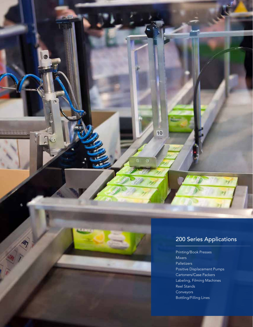

10

Printing/Book Presses Mixers Palletizers Positive Displacement Pumps Cartoners/Case Packers Labeling, Filming Machines Reel Stands Conveyors Bottling/Filling Lines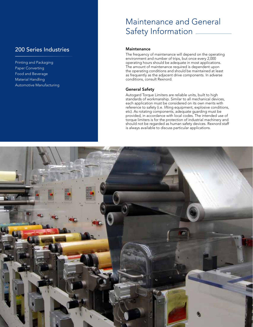### 200 Series Industries

Printing and Packaging Paper Converting Food and Beverage Material Handling Automotive Manufacturing

### Maintenance and General Safety Information

### **Maintenance**

The frequency of maintenance will depend on the operating environment and number of trips, but once every 2,000 operating hours should be adequate in most applications. The amount of maintenance required is dependent upon the operating conditions and should be maintained at least as frequently as the adjacent drive components. In adverse conditions, consult Rexnord.

### General Safety

Autogard Torque Limiters are reliable units, built to high standards of workmanship. Similar to all mechanical devices, each application must be considered on its own merits with reference to safety (i.e. lifting equipment, explosive conditions, etc). As rotating components, adequate guarding must be provided, in accordance with local codes. The intended use of torque limiters is for the protection of industrial machinery and should not be regarded as human safety devices. Rexnord staff is always available to discuss particular applications.

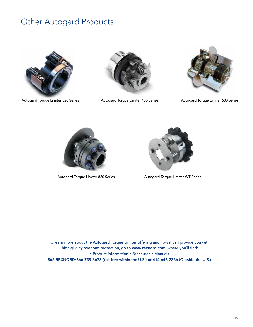### Other Autogard Products



Autogard Torque Limiter 320 Series **Autogard Torque Limiter 400 Series** Autogard Torque Limiter 600 Series









Autogard Torque Limiter 820 Series **Autogard Torque Limiter WT Series** 

To learn more about the Autogard Torque Limiter offering and how it can provide you with high-quality overload protection, go to www.rexnord.com, where you'll find: • Product information • Brochures • Manuals 866-REXNORD/866-739-6673 (toll-free within the U.S.) or 414-643-2366 (Outside the U.S.)